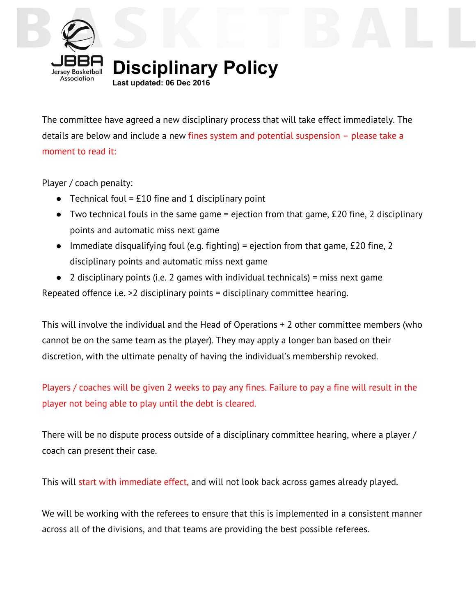

**Disciplinary Policy**

**Last updated: 06 Dec 2016**

The committee have agreed a new disciplinary process that will take effect immediately. The details are below and include a new fines system and potential suspension – please take a moment to read it:

Player / coach penalty:

- Technical foul = £10 fine and 1 disciplinary point
- $\bullet$  Two technical fouls in the same game = ejection from that game, £20 fine, 2 disciplinary points and automatic miss next game
- $\bullet$  Immediate disqualifying foul (e.g. fighting) = ejection from that game, £20 fine, 2 disciplinary points and automatic miss next game
- $\bullet$  2 disciplinary points (i.e. 2 games with individual technicals) = miss next game Repeated offence i.e. >2 disciplinary points = disciplinary committee hearing.

This will involve the individual and the Head of Operations + 2 other committee members (who cannot be on the same team as the player). They may apply a longer ban based on their discretion, with the ultimate penalty of having the individual's membership revoked.

Players / coaches will be given 2 weeks to pay any fines. Failure to pay a fine will result in the player not being able to play until the debt is cleared.

There will be no dispute process outside of a disciplinary committee hearing, where a player / coach can present their case.

This will start with immediate effect, and will not look back across games already played.

We will be working with the referees to ensure that this is implemented in a consistent manner across all of the divisions, and that teams are providing the best possible referees.